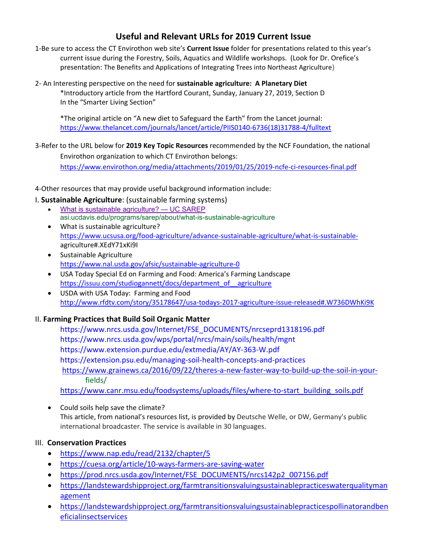# **Useful and Relevant URLs for 2019 Current Issue**

- 1‐Be sure to access the CT Envirothon web site's **Current Issue** folder for presentations related to this year's current issue during the Forestry, Soils, Aquatics and Wildlife workshops. (Look for Dr. Orefice's presentation: The Benefits and Applications of Integrating Trees into Northeast Agriculture)
- 2‐ An Interesting perspective on the need for **sustainable agriculture: A Planetary Diet**  \*Introductory article from the Hartford Courant, Sunday, January 27, 2019, Section D In the "Smarter Living Section"

 \*The original article on "A new diet to Safeguard the Earth" from the Lancet journal: https://www.thelancet.com/journals/lancet/article/PIIS0140‐6736(18)31788‐4/fulltext

3‐Refer to the URL below for **2019 Key Topic Resources** recommended by the NCF Foundation, the national Envirothon organization to which CT Envirothon belongs:

https://www.envirothon.org/media/attachments/2019/01/25/2019‐ncfe‐ci‐resources‐final.pdf

- 4‐Other resources that may provide useful background information include:
- I. **Sustainable Agriculture**: (sustainable farming systems)
	- What is sustainable agriculture? UC SAREP asi.ucdavis.edu/programs/sarep/about/what-is-sustainable-agriculture
	- What is sustainable agriculture? https://www.ucsusa.org/food-agriculture/advance-sustainable-agriculture/what-is-sustainable-agriculture#.XEdY71xKi9I
	- Sustainable Agriculture https://www.nal.usda.gov/afsic/sustainable‐agriculture‐0
	- USA Today Special Ed on Farming and Food: America's Farming Landscape https://issuu.com/studiogannett/docs/department\_of\_\_agriculture
	- USDA with USA Today: Farming and Food http://www.rfdtv.com/story/35178647/usa‐todays‐2017‐agriculture‐issue‐released#.W736DWhKi9K

## II. **Farming Practices that Build Soil Organic Matter**

https://www.nrcs.usda.gov/Internet/FSE\_DOCUMENTS/nrcseprd1318196.pdf https://www.nrcs.usda.gov/wps/portal/nrcs/main/soils/health/mgnt https://www.extension.purdue.edu/extmedia/AY/AY‐363‐W.pdf https://extension.psu.edu/managing‐soil‐health‐concepts‐and‐practices https://www.grainews.ca/2016/09/22/theres-a-new-faster-way-to-build-up-the-soil-in-your-fields/

https://www.canr.msu.edu/foodsystems/uploads/files/where-to-start\_building\_soils.pdf

• Could soils help save the climate? This article, from national's resources list, is provided by Deutsche Welle, or DW, Germany's public international broadcaster. The service is available in 30 languages.

## III. **Conservation Practices**

- https://www.nap.edu/read/2132/chapter/5
- https://cuesa.org/article/10‐ways‐farmers‐are‐saving‐water
- https://prod.nrcs.usda.gov/Internet/FSE\_DOCUMENTS/nrcs142p2\_007156.pdf
- https://landstewardshipproject.org/farmtransitionsvaluingsustainablepracticeswaterqualityman agement
- https://landstewardshipproject.org/farmtransitionsvaluingsustainablepracticespollinatorandben eficialinsectservices